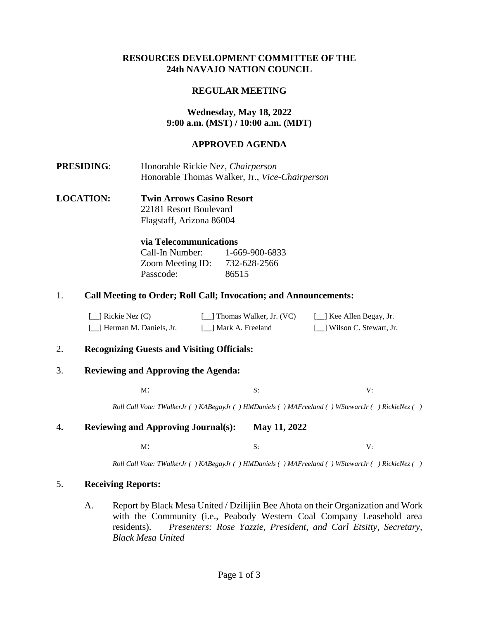# **RESOURCES DEVELOPMENT COMMITTEE OF THE 24th NAVAJO NATION COUNCIL**

## **REGULAR MEETING**

# **Wednesday, May 18, 2022 9:00 a.m. (MST) / 10:00 a.m. (MDT)**

## **APPROVED AGENDA**

- **PRESIDING**: Honorable Rickie Nez, *Chairperson* Honorable Thomas Walker, Jr., *Vice-Chairperson*
- **LOCATION: Twin Arrows Casino Resort**  22181 Resort Boulevard Flagstaff, Arizona 86004

### **via Telecommunications**

| Call-In Number:  | 1-669-900-6833 |
|------------------|----------------|
| Zoom Meeting ID: | 732-628-2566   |
| Passcode:        | 86515          |

### 1. **Call Meeting to Order; Roll Call; Invocation; and Announcements:**

| $[\ ]$ Rickie Nez (C)      | [11] Thomas Walker, Jr. (VC) | [_] Kee Allen Begay, Jr.    |
|----------------------------|------------------------------|-----------------------------|
| [_] Herman M. Daniels, Jr. | [ ] Mark A. Freeland         | [11] Wilson C. Stewart, Jr. |

### 2. **Recognizing Guests and Visiting Officials:**

### 3. **Reviewing and Approving the Agenda:**

 $M$ : S: V:

*Roll Call Vote: TWalkerJr ( ) KABegayJr ( ) HMDaniels ( ) MAFreeland ( ) WStewartJr ( ) RickieNez ( )*

### 4**. Reviewing and Approving Journal(s): May 11, 2022**

 $M$ : S: V:

*Roll Call Vote: TWalkerJr ( ) KABegayJr ( ) HMDaniels ( ) MAFreeland ( ) WStewartJr ( ) RickieNez ( )*

### 5. **Receiving Reports:**

A. Report by Black Mesa United / Dzilijiin Bee Ahota on their Organization and Work with the Community (i.e., Peabody Western Coal Company Leasehold area residents). *Presenters: Rose Yazzie, President, and Carl Etsitty, Secretary, Black Mesa United*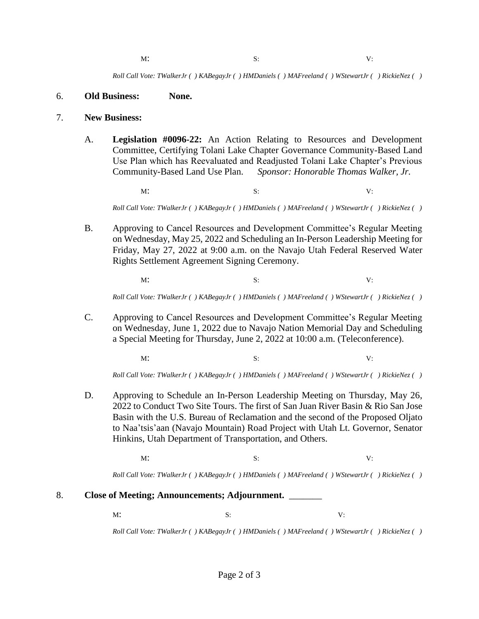$M$ : S: V:

*Roll Call Vote: TWalkerJr ( ) KABegayJr ( ) HMDaniels ( ) MAFreeland ( ) WStewartJr ( ) RickieNez ( )*

#### 6. **Old Business: None.**

#### 7. **New Business:**

A. **Legislation #0096-22:** An Action Relating to Resources and Development Committee, Certifying Tolani Lake Chapter Governance Community-Based Land Use Plan which has Reevaluated and Readjusted Tolani Lake Chapter's Previous Community-Based Land Use Plan. *Sponsor: Honorable Thomas Walker, Jr.* 

 $M$ : S: V:

*Roll Call Vote: TWalkerJr ( ) KABegayJr ( ) HMDaniels ( ) MAFreeland ( ) WStewartJr ( ) RickieNez ( )*

- B. Approving to Cancel Resources and Development Committee's Regular Meeting on Wednesday, May 25, 2022 and Scheduling an In-Person Leadership Meeting for Friday, May 27, 2022 at 9:00 a.m. on the Navajo Utah Federal Reserved Water Rights Settlement Agreement Signing Ceremony.
	- $M$ : S: V:

*Roll Call Vote: TWalkerJr ( ) KABegayJr ( ) HMDaniels ( ) MAFreeland ( ) WStewartJr ( ) RickieNez ( )*

C. Approving to Cancel Resources and Development Committee's Regular Meeting on Wednesday, June 1, 2022 due to Navajo Nation Memorial Day and Scheduling a Special Meeting for Thursday, June 2, 2022 at 10:00 a.m. (Teleconference).

 $M$ : S: V:

*Roll Call Vote: TWalkerJr ( ) KABegayJr ( ) HMDaniels ( ) MAFreeland ( ) WStewartJr ( ) RickieNez ( )*

D. Approving to Schedule an In-Person Leadership Meeting on Thursday, May 26, 2022 to Conduct Two Site Tours. The first of San Juan River Basin & Rio San Jose Basin with the U.S. Bureau of Reclamation and the second of the Proposed Oljato to Naa'tsis'aan (Navajo Mountain) Road Project with Utah Lt. Governor, Senator Hinkins, Utah Department of Transportation, and Others.

 $M$ : S: V:

*Roll Call Vote: TWalkerJr ( ) KABegayJr ( ) HMDaniels ( ) MAFreeland ( ) WStewartJr ( ) RickieNez ( )*

- 8. Close of Meeting; Announcements; Adjournment.
	-

 $M$ : S: V:

*Roll Call Vote: TWalkerJr ( ) KABegayJr ( ) HMDaniels ( ) MAFreeland ( ) WStewartJr ( ) RickieNez ( )*